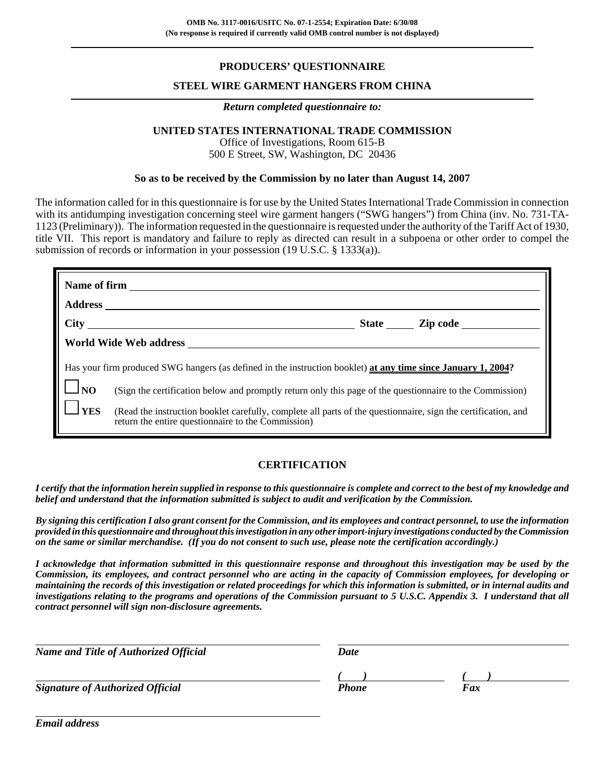### **PRODUCERS' QUESTIONNAIRE**

### **STEEL WIRE GARMENT HANGERS FROM CHINA**

#### *Return completed questionnaire to:*

### **UNITED STATES INTERNATIONAL TRADE COMMISSION**

Office of Investigations, Room 615-B 500 E Street, SW, Washington, DC 20436

#### **So as to be received by the Commission by no later than August 14, 2007**

The information called for in this questionnaire is for use by the United States International Trade Commission in connection with its antidumping investigation concerning steel wire garment hangers ("SWG hangers") from China (inv. No. 731-TA-1123 (Preliminary)). The information requested in the questionnaire is requested under the authority of the Tariff Act of 1930, title VII. This report is mandatory and failure to reply as directed can result in a subpoena or other order to compel the submission of records or information in your possession (19 U.S.C. § 1333(a)).

| Name of firm                                                                                                  |                                                                                                                                                                     |  |  |  |  |  |
|---------------------------------------------------------------------------------------------------------------|---------------------------------------------------------------------------------------------------------------------------------------------------------------------|--|--|--|--|--|
|                                                                                                               |                                                                                                                                                                     |  |  |  |  |  |
|                                                                                                               | State <u>Zip</u> code                                                                                                                                               |  |  |  |  |  |
|                                                                                                               | World Wide Web address                                                                                                                                              |  |  |  |  |  |
| Has your firm produced SWG hangers (as defined in the instruction booklet) at any time since January 1, 2004? |                                                                                                                                                                     |  |  |  |  |  |
| $\Box$ NO                                                                                                     | (Sign the certification below and promptly return only this page of the questionnaire to the Commission)                                                            |  |  |  |  |  |
| <b>YES</b>                                                                                                    | (Read the instruction booklet carefully, complete all parts of the questionnaire, sign the certification, and<br>return the entire questionnaire to the Commission) |  |  |  |  |  |

### **CERTIFICATION**

*I certify that the information herein supplied in response to this questionnaire is complete and correct to the best of my knowledge and belief and understand that the information submitted is subject to audit and verification by the Commission.*

*By signing this certification I also grant consent for the Commission, and its employees and contract personnel, to use the information provided in this questionnaire and throughout this investigation in any other import-injury investigations conducted by the Commission on the same or similar merchandise. (If you do not consent to such use, please note the certification accordingly.)*

*I acknowledge that information submitted in this questionnaire response and throughout this investigation may be used by the Commission, its employees, and contract personnel who are acting in the capacity of Commission employees, for developing or maintaining the records of this investigation or related proceedings for which this information is submitted, or in internal audits and investigations relating to the programs and operations of the Commission pursuant to 5 U.S.C. Appendix 3. I understand that all contract personnel will sign non-disclosure agreements.*

*Name and Title of Authorized Official* Date Date

*( ) ( )*

**Signature of Authorized Official** 

*Email address*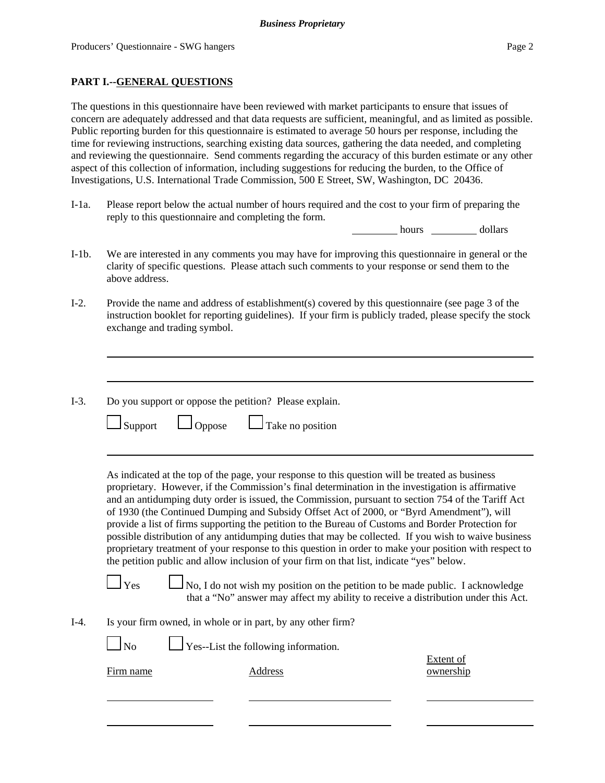### **PART I.--GENERAL QUESTIONS**

The questions in this questionnaire have been reviewed with market participants to ensure that issues of concern are adequately addressed and that data requests are sufficient, meaningful, and as limited as possible. Public reporting burden for this questionnaire is estimated to average 50 hours per response, including the time for reviewing instructions, searching existing data sources, gathering the data needed, and completing and reviewing the questionnaire. Send comments regarding the accuracy of this burden estimate or any other aspect of this collection of information, including suggestions for reducing the burden, to the Office of Investigations, U.S. International Trade Commission, 500 E Street, SW, Washington, DC 20436.

I-1a. Please report below the actual number of hours required and the cost to your firm of preparing the reply to this questionnaire and completing the form.

hours dollars

- I-1b. We are interested in any comments you may have for improving this questionnaire in general or the clarity of specific questions. Please attach such comments to your response or send them to the above address.
- I-2. Provide the name and address of establishment(s) covered by this questionnaire (see page 3 of the instruction booklet for reporting guidelines). If your firm is publicly traded, please specify the stock exchange and trading symbol.
- I-3. Do you support or oppose the petition? Please explain.

|  | $\Box$ Support |  | $\Box$ Oppose |  | $\Box$ Take no position |
|--|----------------|--|---------------|--|-------------------------|
|--|----------------|--|---------------|--|-------------------------|

As indicated at the top of the page, your response to this question will be treated as business proprietary. However, if the Commission's final determination in the investigation is affirmative and an antidumping duty order is issued, the Commission, pursuant to section 754 of the Tariff Act of 1930 (the Continued Dumping and Subsidy Offset Act of 2000, or "Byrd Amendment"), will provide a list of firms supporting the petition to the Bureau of Customs and Border Protection for possible distribution of any antidumping duties that may be collected. If you wish to waive business proprietary treatment of your response to this question in order to make your position with respect to the petition public and allow inclusion of your firm on that list, indicate "yes" below.

 $\Box$  Yes  $\Box$  No, I do not wish my position on the petition to be made public. I acknowledge that a "No" answer may affect my ability to receive a distribution under this Act.

I-4. Is your firm owned, in whole or in part, by any other firm?

 $\log N$  Yes--List the following information.

Extent of Firm name Address ownership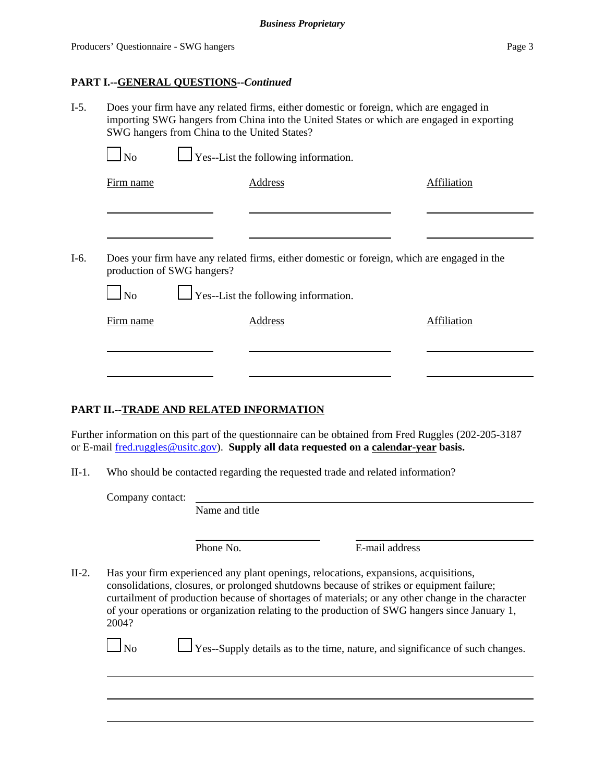### **PART I.--GENERAL QUESTIONS--***Continued*

I-5. Does your firm have any related firms, either domestic or foreign, which are engaged in importing SWG hangers from China into the United States or which are engaged in exporting SWG hangers from China to the United States?

| Does your firm have any related firms, either domestic or foreign, which are engaged in the<br>production of SWG hangers?<br>$\Box$ No |                                             |             |
|----------------------------------------------------------------------------------------------------------------------------------------|---------------------------------------------|-------------|
|                                                                                                                                        |                                             |             |
|                                                                                                                                        |                                             |             |
|                                                                                                                                        | $\Box$ Yes--List the following information. |             |
| Firm name                                                                                                                              | Address                                     | Affiliation |

### **PART II.--TRADE AND RELATED INFORMATION**

Further information on this part of the questionnaire can be obtained from Fred Ruggles (202-205-3187 or E-mail fred.ruggles@usitc.gov). **Supply all data requested on a calendar-year basis.**

II-1. Who should be contacted regarding the requested trade and related information?

Company contact:

Name and title

Phone No. **E-mail address** 

II-2. Has your firm experienced any plant openings, relocations, expansions, acquisitions, consolidations, closures, or prolonged shutdowns because of strikes or equipment failure; curtailment of production because of shortages of materials; or any other change in the character of your operations or organization relating to the production of SWG hangers since January 1, 2004?

| N <sub>o</sub> | $\Box$ Yes--Supply details as to the time, nature, and significance of such changes |  |  |  |  |  |
|----------------|-------------------------------------------------------------------------------------|--|--|--|--|--|
|                |                                                                                     |  |  |  |  |  |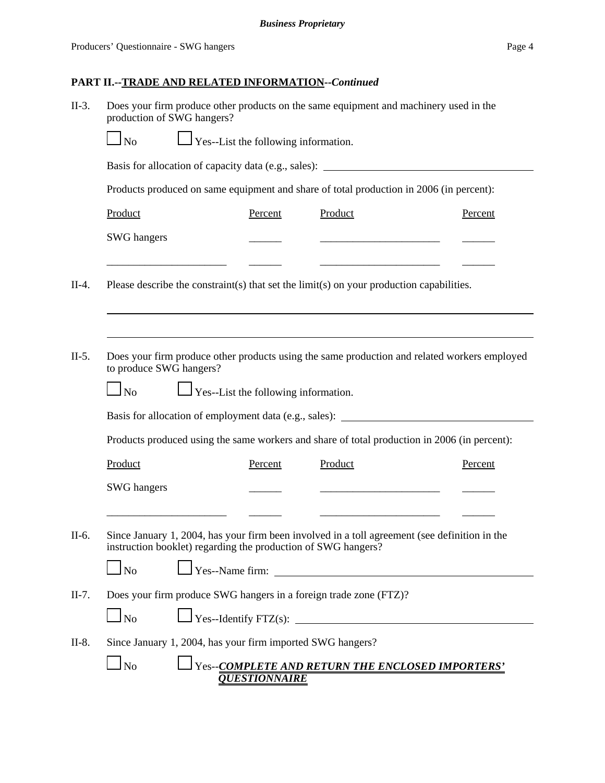| Does your firm produce other products on the same equipment and machinery used in the<br>$II-3.$<br>production of SWG hangers? |                                                                                   |                                             |                      |                                                                                                                                                                                   |                                |         |  |  |
|--------------------------------------------------------------------------------------------------------------------------------|-----------------------------------------------------------------------------------|---------------------------------------------|----------------------|-----------------------------------------------------------------------------------------------------------------------------------------------------------------------------------|--------------------------------|---------|--|--|
|                                                                                                                                | $\frac{1}{2}$ Yes--List the following information.<br>N <sub>o</sub>              |                                             |                      |                                                                                                                                                                                   |                                |         |  |  |
|                                                                                                                                | Basis for allocation of capacity data (e.g., sales): ____________________________ |                                             |                      |                                                                                                                                                                                   |                                |         |  |  |
|                                                                                                                                |                                                                                   |                                             |                      | Products produced on same equipment and share of total production in 2006 (in percent):                                                                                           |                                |         |  |  |
|                                                                                                                                | Product                                                                           |                                             | Percent              | Product                                                                                                                                                                           |                                | Percent |  |  |
|                                                                                                                                | <b>SWG</b> hangers                                                                |                                             |                      | <u> 1989 - Johann Barbara, martxa alemaniar a</u>                                                                                                                                 |                                |         |  |  |
| $II-4.$                                                                                                                        |                                                                                   |                                             |                      | Please describe the constraint(s) that set the limit(s) on your production capabilities.                                                                                          |                                |         |  |  |
| $II-5.$                                                                                                                        | to produce SWG hangers?<br>$\Box$ No                                              | $\Box$ Yes--List the following information. |                      | Does your firm produce other products using the same production and related workers employed                                                                                      |                                |         |  |  |
|                                                                                                                                |                                                                                   |                                             |                      | Basis for allocation of employment data (e.g., sales): __________________________                                                                                                 |                                |         |  |  |
|                                                                                                                                |                                                                                   |                                             |                      | Products produced using the same workers and share of total production in 2006 (in percent):                                                                                      |                                |         |  |  |
|                                                                                                                                | Product                                                                           |                                             | Percent              | Product                                                                                                                                                                           |                                | Percent |  |  |
|                                                                                                                                | <b>SWG</b> hangers                                                                |                                             |                      |                                                                                                                                                                                   |                                |         |  |  |
| $II-6.$                                                                                                                        | $\Box$ No                                                                         |                                             |                      | Since January 1, 2004, has your firm been involved in a toll agreement (see definition in the<br>instruction booklet) regarding the production of SWG hangers?<br>Yes--Name firm: | ______________________________ |         |  |  |
| $II-7.$                                                                                                                        |                                                                                   |                                             |                      | Does your firm produce SWG hangers in a foreign trade zone (FTZ)?                                                                                                                 |                                |         |  |  |
|                                                                                                                                | $\Box$ No                                                                         |                                             |                      | $\text{Yes-Identity FTZ(s):}$                                                                                                                                                     |                                |         |  |  |
| $II-8.$                                                                                                                        |                                                                                   |                                             |                      | Since January 1, 2004, has your firm imported SWG hangers?                                                                                                                        |                                |         |  |  |
|                                                                                                                                | $\log$                                                                            |                                             | <b>QUESTIONNAIRE</b> | Yes--COMPLETE AND RETURN THE ENCLOSED IMPORTERS'                                                                                                                                  |                                |         |  |  |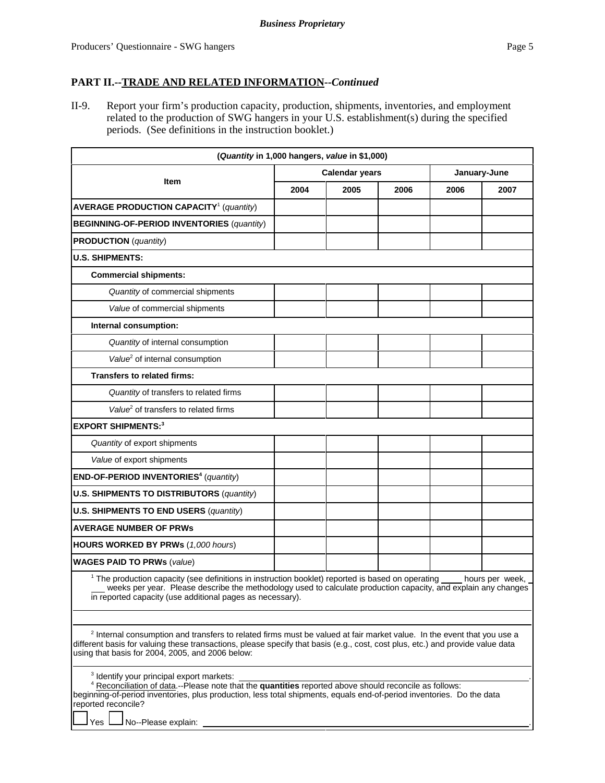II-9. Report your firm's production capacity, production, shipments, inventories, and employment related to the production of SWG hangers in your U.S. establishment(s) during the specified periods. (See definitions in the instruction booklet.)

| (Quantity in 1,000 hangers, value in \$1,000)                                                                                                                                                                                                                                                                           |      |                       |      |              |      |  |
|-------------------------------------------------------------------------------------------------------------------------------------------------------------------------------------------------------------------------------------------------------------------------------------------------------------------------|------|-----------------------|------|--------------|------|--|
| <b>Item</b>                                                                                                                                                                                                                                                                                                             |      | <b>Calendar years</b> |      | January-June |      |  |
|                                                                                                                                                                                                                                                                                                                         | 2004 | 2005                  | 2006 | 2006         | 2007 |  |
| <b>AVERAGE PRODUCTION CAPACITY<sup>1</sup></b> (quantity)                                                                                                                                                                                                                                                               |      |                       |      |              |      |  |
| <b>BEGINNING-OF-PERIOD INVENTORIES (quantity)</b>                                                                                                                                                                                                                                                                       |      |                       |      |              |      |  |
| <b>PRODUCTION</b> (quantity)                                                                                                                                                                                                                                                                                            |      |                       |      |              |      |  |
| <b>U.S. SHIPMENTS:</b>                                                                                                                                                                                                                                                                                                  |      |                       |      |              |      |  |
| <b>Commercial shipments:</b>                                                                                                                                                                                                                                                                                            |      |                       |      |              |      |  |
| Quantity of commercial shipments                                                                                                                                                                                                                                                                                        |      |                       |      |              |      |  |
| Value of commercial shipments                                                                                                                                                                                                                                                                                           |      |                       |      |              |      |  |
| Internal consumption:                                                                                                                                                                                                                                                                                                   |      |                       |      |              |      |  |
| Quantity of internal consumption                                                                                                                                                                                                                                                                                        |      |                       |      |              |      |  |
| Value <sup>2</sup> of internal consumption                                                                                                                                                                                                                                                                              |      |                       |      |              |      |  |
| Transfers to related firms:                                                                                                                                                                                                                                                                                             |      |                       |      |              |      |  |
| Quantity of transfers to related firms                                                                                                                                                                                                                                                                                  |      |                       |      |              |      |  |
| Value <sup>2</sup> of transfers to related firms                                                                                                                                                                                                                                                                        |      |                       |      |              |      |  |
| <b>EXPORT SHIPMENTS:3</b>                                                                                                                                                                                                                                                                                               |      |                       |      |              |      |  |
| Quantity of export shipments                                                                                                                                                                                                                                                                                            |      |                       |      |              |      |  |
| Value of export shipments                                                                                                                                                                                                                                                                                               |      |                       |      |              |      |  |
| END-OF-PERIOD INVENTORIES <sup>4</sup> (quantity)                                                                                                                                                                                                                                                                       |      |                       |      |              |      |  |
| <b>U.S. SHIPMENTS TO DISTRIBUTORS (quantity)</b>                                                                                                                                                                                                                                                                        |      |                       |      |              |      |  |
| <b>U.S. SHIPMENTS TO END USERS (quantity)</b>                                                                                                                                                                                                                                                                           |      |                       |      |              |      |  |
| <b>AVERAGE NUMBER OF PRWS</b>                                                                                                                                                                                                                                                                                           |      |                       |      |              |      |  |
| <b>HOURS WORKED BY PRWs (1,000 hours)</b>                                                                                                                                                                                                                                                                               |      |                       |      |              |      |  |
| <b>WAGES PAID TO PRWs (value)</b>                                                                                                                                                                                                                                                                                       |      |                       |      |              |      |  |
| <sup>1</sup> The production capacity (see definitions in instruction booklet) reported is based on operating<br>hours per week,<br>weeks per year. Please describe the methodology used to calculate production capacity, and explain any changes<br>in reported capacity (use additional pages as necessary).          |      |                       |      |              |      |  |
|                                                                                                                                                                                                                                                                                                                         |      |                       |      |              |      |  |
| <sup>2</sup> Internal consumption and transfers to related firms must be valued at fair market value. In the event that you use a<br>different basis for valuing these transactions, please specify that basis (e.g., cost, cost plus, etc.) and provide value data<br>using that basis for 2004, 2005, and 2006 below: |      |                       |      |              |      |  |
| <sup>3</sup> Identify your principal export markets:                                                                                                                                                                                                                                                                    |      |                       |      |              |      |  |
| <sup>4</sup> Reconciliation of data .-- Please note that the quantities reported above should reconcile as follows:<br>beginning-of-period inventories, plus production, less total shipments, equals end-of-period inventories. Do the data<br>reported reconcile?<br>No--Please explain:<br>Yes                       |      |                       |      |              |      |  |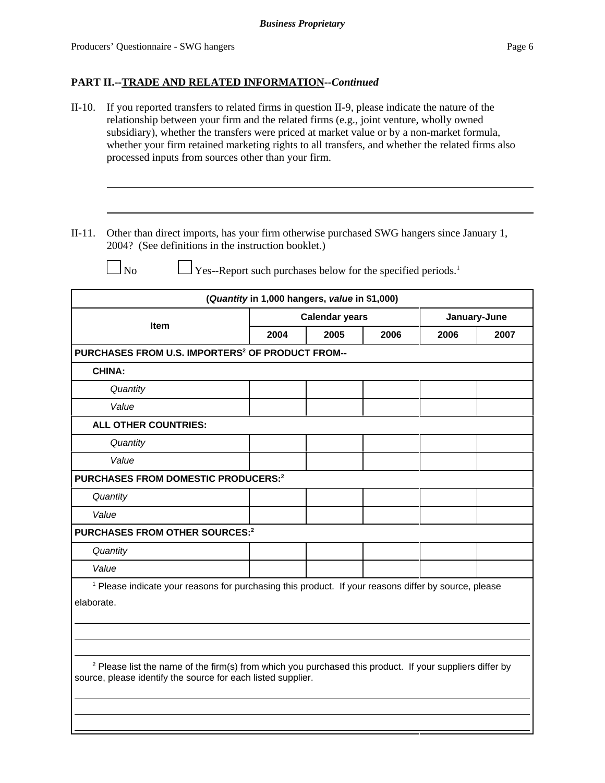| $II-10.$   | If you reported transfers to related firms in question II-9, please indicate the nature of the<br>relationship between your firm and the related firms (e.g., joint venture, wholly owned<br>subsidiary), whether the transfers were priced at market value or by a non-market formula,<br>whether your firm retained marketing rights to all transfers, and whether the related firms also<br>processed inputs from sources other than your firm. |      |                                               |                                                                          |      |                      |  |  |
|------------|----------------------------------------------------------------------------------------------------------------------------------------------------------------------------------------------------------------------------------------------------------------------------------------------------------------------------------------------------------------------------------------------------------------------------------------------------|------|-----------------------------------------------|--------------------------------------------------------------------------|------|----------------------|--|--|
| $II-11.$   | Other than direct imports, has your firm otherwise purchased SWG hangers since January 1,<br>2004? (See definitions in the instruction booklet.)<br>$\Box$ No                                                                                                                                                                                                                                                                                      |      |                                               | Yes--Report such purchases below for the specified periods. <sup>1</sup> |      |                      |  |  |
|            |                                                                                                                                                                                                                                                                                                                                                                                                                                                    |      | (Quantity in 1,000 hangers, value in \$1,000) |                                                                          |      |                      |  |  |
|            | Item                                                                                                                                                                                                                                                                                                                                                                                                                                               | 2004 | <b>Calendar years</b><br>2005                 | 2006                                                                     | 2006 | January-June<br>2007 |  |  |
|            | PURCHASES FROM U.S. IMPORTERS <sup>2</sup> OF PRODUCT FROM--                                                                                                                                                                                                                                                                                                                                                                                       |      |                                               |                                                                          |      |                      |  |  |
|            | <b>CHINA:</b>                                                                                                                                                                                                                                                                                                                                                                                                                                      |      |                                               |                                                                          |      |                      |  |  |
|            | Quantity                                                                                                                                                                                                                                                                                                                                                                                                                                           |      |                                               |                                                                          |      |                      |  |  |
| Value      |                                                                                                                                                                                                                                                                                                                                                                                                                                                    |      |                                               |                                                                          |      |                      |  |  |
|            | ALL OTHER COUNTRIES:                                                                                                                                                                                                                                                                                                                                                                                                                               |      |                                               |                                                                          |      |                      |  |  |
|            | Quantity                                                                                                                                                                                                                                                                                                                                                                                                                                           |      |                                               |                                                                          |      |                      |  |  |
|            | Value                                                                                                                                                                                                                                                                                                                                                                                                                                              |      |                                               |                                                                          |      |                      |  |  |
|            | PURCHASES FROM DOMESTIC PRODUCERS: <sup>2</sup>                                                                                                                                                                                                                                                                                                                                                                                                    |      |                                               |                                                                          |      |                      |  |  |
|            | Quantity                                                                                                                                                                                                                                                                                                                                                                                                                                           |      |                                               |                                                                          |      |                      |  |  |
|            | Value                                                                                                                                                                                                                                                                                                                                                                                                                                              |      |                                               |                                                                          |      |                      |  |  |
|            | PURCHASES FROM OTHER SOURCES: <sup>2</sup>                                                                                                                                                                                                                                                                                                                                                                                                         |      |                                               |                                                                          |      |                      |  |  |
|            | Quantity                                                                                                                                                                                                                                                                                                                                                                                                                                           |      |                                               |                                                                          |      |                      |  |  |
|            | Value                                                                                                                                                                                                                                                                                                                                                                                                                                              |      |                                               |                                                                          |      |                      |  |  |
| elaborate. | <sup>1</sup> Please indicate your reasons for purchasing this product. If your reasons differ by source, please                                                                                                                                                                                                                                                                                                                                    |      |                                               |                                                                          |      |                      |  |  |
|            | <sup>2</sup> Please list the name of the firm(s) from which you purchased this product. If your suppliers differ by<br>source, please identify the source for each listed supplier.                                                                                                                                                                                                                                                                |      |                                               |                                                                          |      |                      |  |  |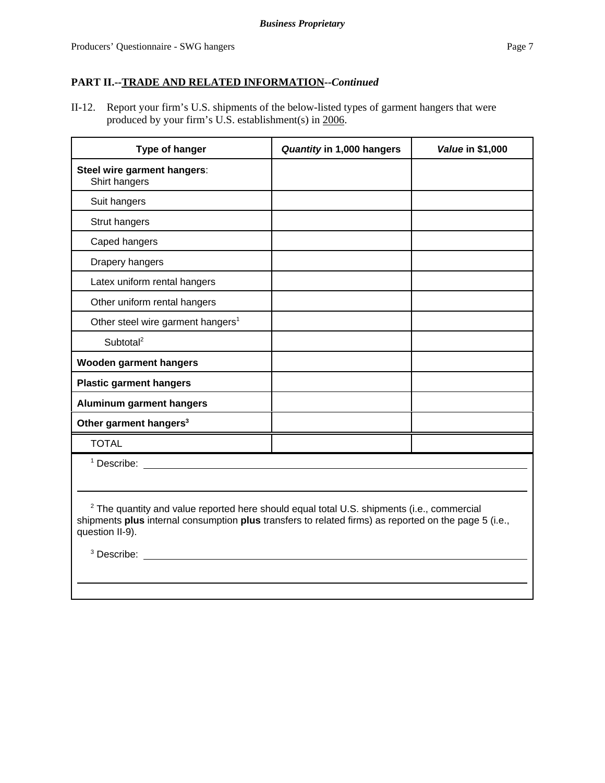II-12. Report your firm's U.S. shipments of the below-listed types of garment hangers that were produced by your firm's U.S. establishment(s) in 2006.

| Type of hanger                                | Quantity in 1,000 hangers | Value in \$1,000 |
|-----------------------------------------------|---------------------------|------------------|
| Steel wire garment hangers:<br>Shirt hangers  |                           |                  |
| Suit hangers                                  |                           |                  |
| Strut hangers                                 |                           |                  |
| Caped hangers                                 |                           |                  |
| Drapery hangers                               |                           |                  |
| Latex uniform rental hangers                  |                           |                  |
| Other uniform rental hangers                  |                           |                  |
| Other steel wire garment hangers <sup>1</sup> |                           |                  |
| Subtotal <sup>2</sup>                         |                           |                  |
| <b>Wooden garment hangers</b>                 |                           |                  |
| <b>Plastic garment hangers</b>                |                           |                  |
| <b>Aluminum garment hangers</b>               |                           |                  |
| Other garment hangers <sup>3</sup>            |                           |                  |
| <b>TOTAL</b>                                  |                           |                  |
| $1$ Describe:                                 |                           |                  |

 $2$  The quantity and value reported here should equal total U.S. shipments (i.e., commercial shipments **plus** internal consumption **plus** transfers to related firms) as reported on the page 5 (i.e., question II-9).

<sup>3</sup> Describe: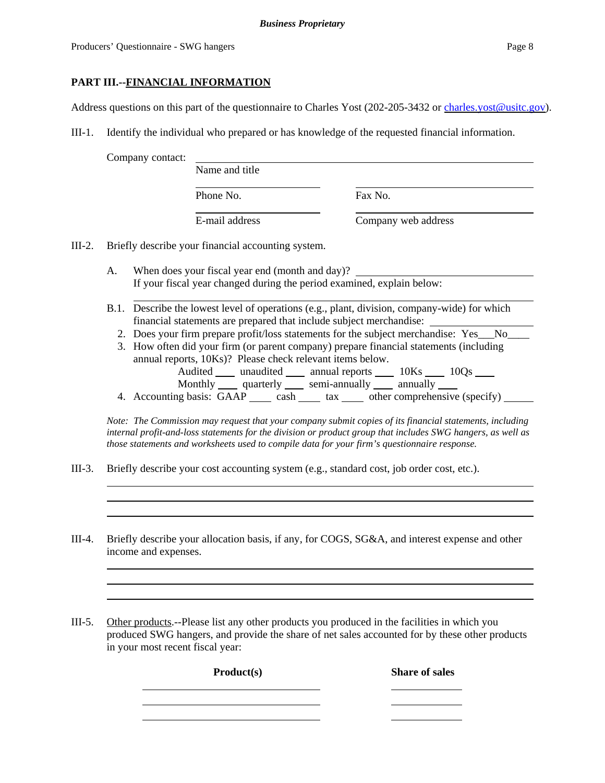### **PART III.--FINANCIAL INFORMATION**

Address questions on this part of the questionnaire to Charles Yost (202-205-3432 or charles.yost@usitc.gov).

III-1. Identify the individual who prepared or has knowledge of the requested financial information.

Company contact:

| Name and title |                     |
|----------------|---------------------|
| Phone No.      | Fax No.             |
| E-mail address | Company web address |

III-2. Briefly describe your financial accounting system.

- A. When does your fiscal year end (month and day)? If your fiscal year changed during the period examined, explain below:
- B.1. Describe the lowest level of operations (e.g., plant, division, company-wide) for which financial statements are prepared that include subject merchandise:
	- 2. Does your firm prepare profit/loss statements for the subject merchandise: Yes No
	- 3. How often did your firm (or parent company) prepare financial statements (including annual reports, 10Ks)? Please check relevant items below. Audited \_\_\_\_ unaudited \_\_\_\_ annual reports \_\_\_\_ 10Ks \_\_\_\_ 10Qs \_\_\_\_ Monthly quarterly semi-annually annually
	- 4. Accounting basis:  $GAAP$  cash  $\_\_\_$  tax  $\_\_\_$  other comprehensive (specify)  $\_\_\_\_$

*Note: The Commission may request that your company submit copies of its financial statements, including internal profit-and-loss statements for the division or product group that includes SWG hangers, as well as those statements and worksheets used to compile data for your firm's questionnaire response.*

- III-3. Briefly describe your cost accounting system (e.g., standard cost, job order cost, etc.).
- III-4. Briefly describe your allocation basis, if any, for COGS, SG&A, and interest expense and other income and expenses.

III-5. Other products.--Please list any other products you produced in the facilities in which you produced SWG hangers, and provide the share of net sales accounted for by these other products in your most recent fiscal year:

Product(s) Share of sales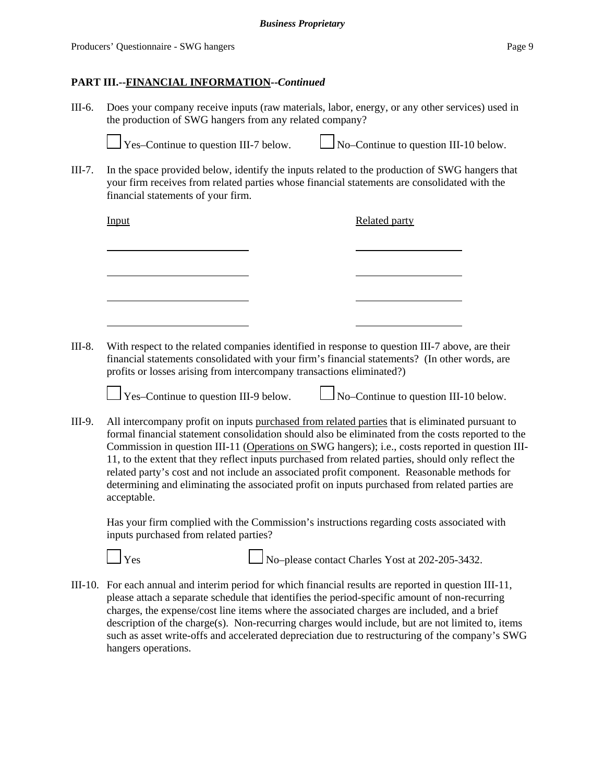III-6. Does your company receive inputs (raw materials, labor, energy, or any other services) used in the production of SWG hangers from any related company?



Yes–Continue to question III-7 below.  $\Box$  No–Continue to question III-10 below.

III-7. In the space provided below, identify the inputs related to the production of SWG hangers that your firm receives from related parties whose financial statements are consolidated with the financial statements of your firm.

| Input | <b>Related party</b> |
|-------|----------------------|
|       |                      |
|       |                      |
|       |                      |
|       |                      |

III-8. With respect to the related companies identified in response to question III-7 above, are their financial statements consolidated with your firm's financial statements? (In other words, are profits or losses arising from intercompany transactions eliminated?)



Yes–Continue to question III-9 below.  $\Box$  No–Continue to question III-10 below.

III-9. All intercompany profit on inputs purchased from related parties that is eliminated pursuant to formal financial statement consolidation should also be eliminated from the costs reported to the Commission in question III-11 (Operations on SWG hangers); i.e., costs reported in question III-11, to the extent that they reflect inputs purchased from related parties, should only reflect the related party's cost and not include an associated profit component. Reasonable methods for determining and eliminating the associated profit on inputs purchased from related parties are acceptable.

Has your firm complied with the Commission's instructions regarding costs associated with inputs purchased from related parties?

 $\Box$  Yes  $\Box$  No–please contact Charles Yost at 202-205-3432.

III-10. For each annual and interim period for which financial results are reported in question III-11, please attach a separate schedule that identifies the period-specific amount of non-recurring charges, the expense/cost line items where the associated charges are included, and a brief description of the charge(s). Non-recurring charges would include, but are not limited to, items such as asset write-offs and accelerated depreciation due to restructuring of the company's SWG hangers operations.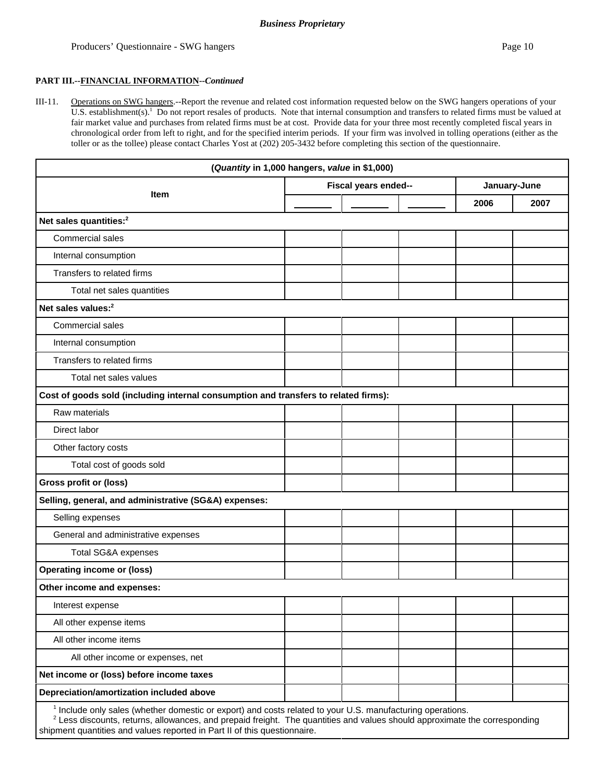III-11. Operations on SWG hangers.--Report the revenue and related cost information requested below on the SWG hangers operations of your U.S. establishment(s).<sup>1</sup> Do not report resales of products. Note that internal consumption and transfers to related firms must be valued at fair market value and purchases from related firms must be at cost. Provide data for your three most recently completed fiscal years in chronological order from left to right, and for the specified interim periods. If your firm was involved in tolling operations (either as the toller or as the tollee) please contact Charles Yost at (202) 205-3432 before completing this section of the questionnaire.

|                                                                                                                       | (Quantity in 1,000 hangers, value in \$1,000) |  |  |              |      |  |
|-----------------------------------------------------------------------------------------------------------------------|-----------------------------------------------|--|--|--------------|------|--|
|                                                                                                                       | Fiscal years ended--                          |  |  | January-June |      |  |
| <b>Item</b>                                                                                                           |                                               |  |  | 2006         | 2007 |  |
| Net sales quantities: <sup>2</sup>                                                                                    |                                               |  |  |              |      |  |
| Commercial sales                                                                                                      |                                               |  |  |              |      |  |
| Internal consumption                                                                                                  |                                               |  |  |              |      |  |
| Transfers to related firms                                                                                            |                                               |  |  |              |      |  |
| Total net sales quantities                                                                                            |                                               |  |  |              |      |  |
| Net sales values: <sup>2</sup>                                                                                        |                                               |  |  |              |      |  |
| Commercial sales                                                                                                      |                                               |  |  |              |      |  |
| Internal consumption                                                                                                  |                                               |  |  |              |      |  |
| Transfers to related firms                                                                                            |                                               |  |  |              |      |  |
| Total net sales values                                                                                                |                                               |  |  |              |      |  |
| Cost of goods sold (including internal consumption and transfers to related firms):                                   |                                               |  |  |              |      |  |
| Raw materials                                                                                                         |                                               |  |  |              |      |  |
| Direct labor                                                                                                          |                                               |  |  |              |      |  |
| Other factory costs                                                                                                   |                                               |  |  |              |      |  |
| Total cost of goods sold                                                                                              |                                               |  |  |              |      |  |
| Gross profit or (loss)                                                                                                |                                               |  |  |              |      |  |
| Selling, general, and administrative (SG&A) expenses:                                                                 |                                               |  |  |              |      |  |
| Selling expenses                                                                                                      |                                               |  |  |              |      |  |
| General and administrative expenses                                                                                   |                                               |  |  |              |      |  |
| Total SG&A expenses                                                                                                   |                                               |  |  |              |      |  |
| <b>Operating income or (loss)</b>                                                                                     |                                               |  |  |              |      |  |
| Other income and expenses:                                                                                            |                                               |  |  |              |      |  |
| Interest expense                                                                                                      |                                               |  |  |              |      |  |
| All other expense items                                                                                               |                                               |  |  |              |      |  |
| All other income items                                                                                                |                                               |  |  |              |      |  |
| All other income or expenses, net                                                                                     |                                               |  |  |              |      |  |
| Net income or (loss) before income taxes                                                                              |                                               |  |  |              |      |  |
| Depreciation/amortization included above                                                                              |                                               |  |  |              |      |  |
| <sup>1</sup> Include only sales (whether domestic or export) and costs related to your U.S. manufacturing operations. |                                               |  |  |              |      |  |

 $2$  Less discounts, returns, allowances, and prepaid freight. The quantities and values should approximate the corresponding shipment quantities and values reported in Part II of this questionnaire.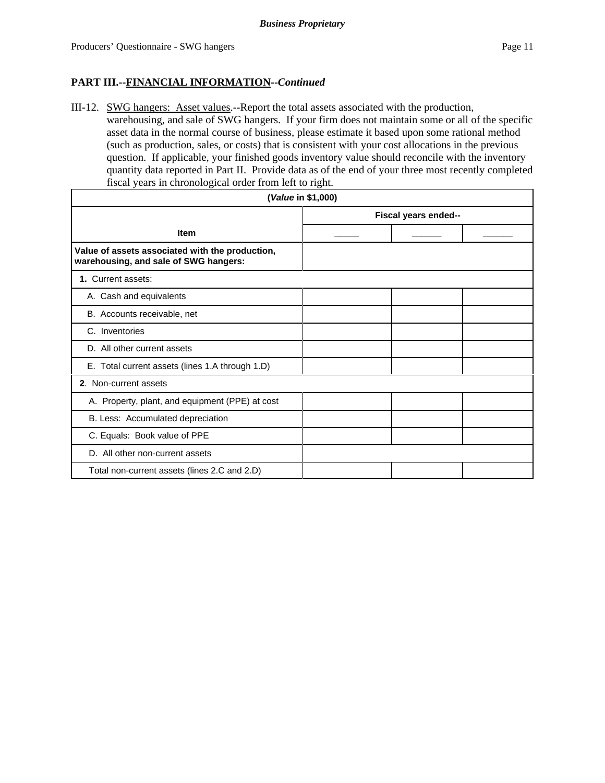III-12. SWG hangers: Asset values.--Report the total assets associated with the production, warehousing, and sale of SWG hangers. If your firm does not maintain some or all of the specific asset data in the normal course of business, please estimate it based upon some rational method (such as production, sales, or costs) that is consistent with your cost allocations in the previous question. If applicable, your finished goods inventory value should reconcile with the inventory quantity data reported in Part II. Provide data as of the end of your three most recently completed fiscal years in chronological order from left to right.

| (Value in \$1,000)                                                                       |  |                      |  |  |  |  |
|------------------------------------------------------------------------------------------|--|----------------------|--|--|--|--|
|                                                                                          |  | Fiscal years ended-- |  |  |  |  |
| <b>Item</b>                                                                              |  |                      |  |  |  |  |
| Value of assets associated with the production,<br>warehousing, and sale of SWG hangers: |  |                      |  |  |  |  |
| 1. Current assets:                                                                       |  |                      |  |  |  |  |
| A. Cash and equivalents                                                                  |  |                      |  |  |  |  |
| B. Accounts receivable, net                                                              |  |                      |  |  |  |  |
| C. Inventories                                                                           |  |                      |  |  |  |  |
| D. All other current assets                                                              |  |                      |  |  |  |  |
| E. Total current assets (lines 1.A through 1.D)                                          |  |                      |  |  |  |  |
| 2. Non-current assets                                                                    |  |                      |  |  |  |  |
| A. Property, plant, and equipment (PPE) at cost                                          |  |                      |  |  |  |  |
| B. Less: Accumulated depreciation                                                        |  |                      |  |  |  |  |
| C. Equals: Book value of PPE                                                             |  |                      |  |  |  |  |
| D. All other non-current assets                                                          |  |                      |  |  |  |  |
| Total non-current assets (lines 2.C and 2.D)                                             |  |                      |  |  |  |  |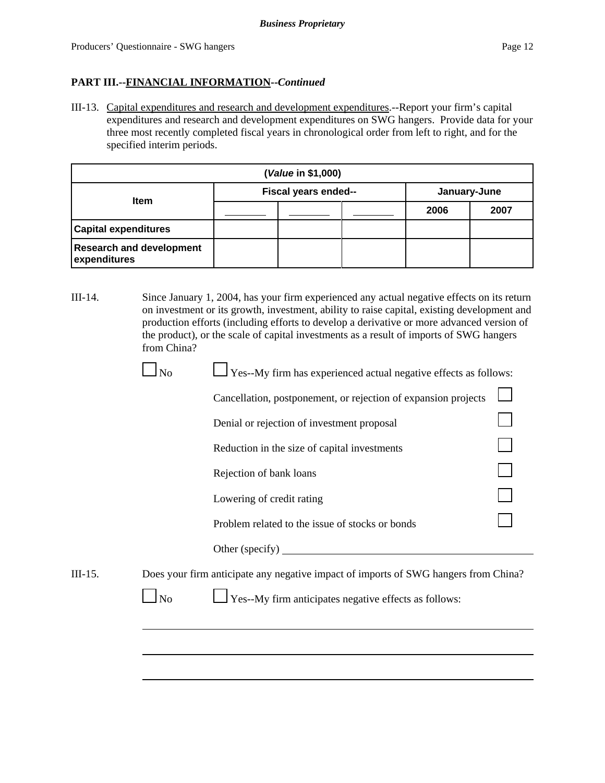III-13. Capital expenditures and research and development expenditures.--Report your firm's capital expenditures and research and development expenditures on SWG hangers. Provide data for your three most recently completed fiscal years in chronological order from left to right, and for the specified interim periods.

| (Value in \$1,000)                              |                      |  |  |              |      |  |  |
|-------------------------------------------------|----------------------|--|--|--------------|------|--|--|
| <b>Item</b>                                     | Fiscal years ended-- |  |  | January-June |      |  |  |
|                                                 |                      |  |  | 2006         | 2007 |  |  |
| <b>Capital expenditures</b>                     |                      |  |  |              |      |  |  |
| <b>Research and development</b><br>expenditures |                      |  |  |              |      |  |  |

III-14. Since January 1, 2004, has your firm experienced any actual negative effects on its return on investment or its growth, investment, ability to raise capital, existing development and production efforts (including efforts to develop a derivative or more advanced version of the product), or the scale of capital investments as a result of imports of SWG hangers from China?

| Yes--My firm has experienced actual negative effects as follows: | $\Box$ No |
|------------------------------------------------------------------|-----------|
|                                                                  |           |

| Cancellation, postponement, or rejection of expansion projects $\Box$ |                     |
|-----------------------------------------------------------------------|---------------------|
| Denial or rejection of investment proposal                            | <b>The Contract</b> |
| Reduction in the size of capital investments                          |                     |

| Reduction in the size of capital investments |  |
|----------------------------------------------|--|
|----------------------------------------------|--|

Rejection of bank loans

Lowering of credit rating

Problem related to the issue of stocks or bonds

Other (specify)

III-15. Does your firm anticipate any negative impact of imports of SWG hangers from China?

 $\Box$  No  $\Box$  Yes--My firm anticipates negative effects as follows: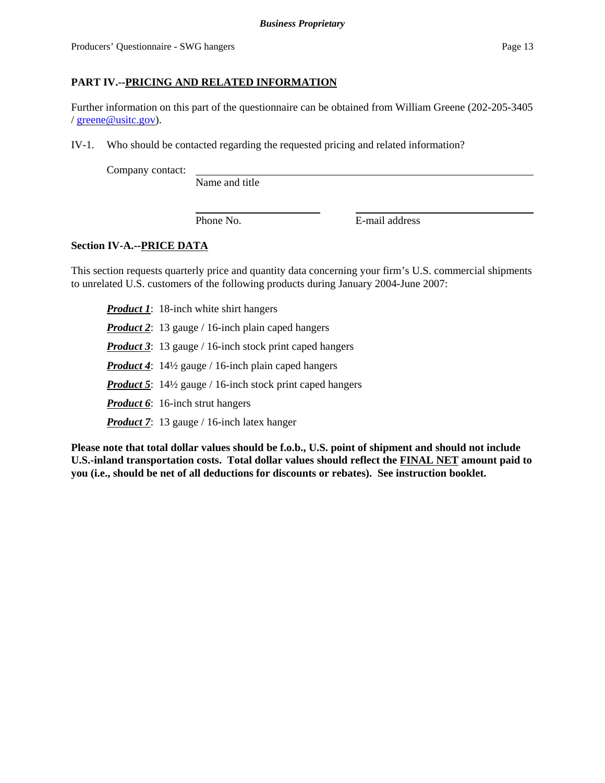### **PART IV.--PRICING AND RELATED INFORMATION**

Further information on this part of the questionnaire can be obtained from William Greene (202-205-3405 / greene@usitc.gov).

IV-1. Who should be contacted regarding the requested pricing and related information?

Company contact:

Name and title

Phone No. **E**-mail address

### **Section IV-A.--PRICE DATA**

This section requests quarterly price and quantity data concerning your firm's U.S. commercial shipments to unrelated U.S. customers of the following products during January 2004-June 2007:

*Product 1*: 18-inch white shirt hangers *Product 2*: 13 gauge / 16-inch plain caped hangers *Product 3*: 13 gauge / 16-inch stock print caped hangers *Product 4*: 14½ gauge / 16-inch plain caped hangers *Product 5*: 14½ gauge / 16-inch stock print caped hangers *Product 6*: 16-inch strut hangers *Product 7*: 13 gauge / 16-inch latex hanger

**Please note that total dollar values should be f.o.b., U.S. point of shipment and should not include U.S.-inland transportation costs. Total dollar values should reflect the FINAL NET amount paid to you (i.e., should be net of all deductions for discounts or rebates). See instruction booklet.**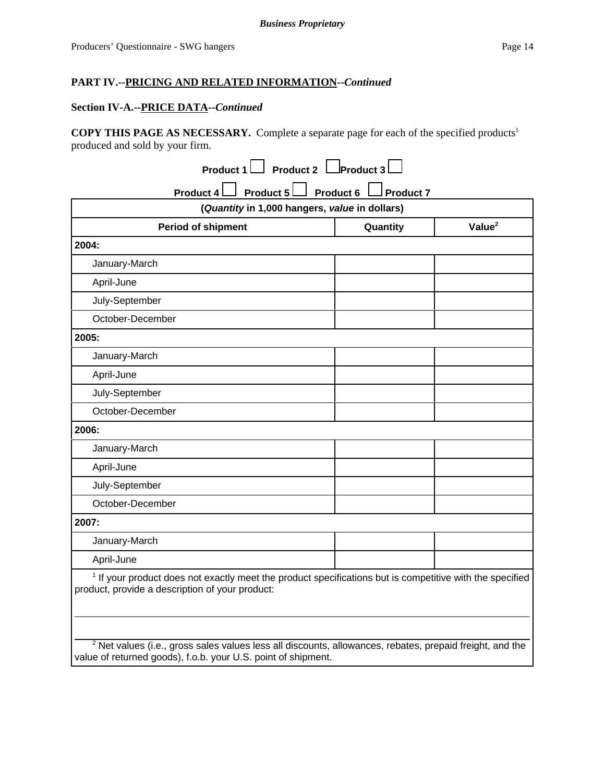### **Section IV-A.--PRICE DATA--***Continued*

COPY THIS PAGE AS NECESSARY. Complete a separate page for each of the specified products<sup>1</sup> produced and sold by your firm.

| (Quantity in 1,000 hangers, value in dollars)                                                                                                                          |  |  |  |  |  |  |  |
|------------------------------------------------------------------------------------------------------------------------------------------------------------------------|--|--|--|--|--|--|--|
| Value <sup>2</sup><br><b>Period of shipment</b><br>Quantity                                                                                                            |  |  |  |  |  |  |  |
| 2004:                                                                                                                                                                  |  |  |  |  |  |  |  |
| January-March                                                                                                                                                          |  |  |  |  |  |  |  |
| April-June                                                                                                                                                             |  |  |  |  |  |  |  |
| July-September                                                                                                                                                         |  |  |  |  |  |  |  |
| October-December                                                                                                                                                       |  |  |  |  |  |  |  |
| 2005:                                                                                                                                                                  |  |  |  |  |  |  |  |
| January-March                                                                                                                                                          |  |  |  |  |  |  |  |
| April-June                                                                                                                                                             |  |  |  |  |  |  |  |
| July-September                                                                                                                                                         |  |  |  |  |  |  |  |
| October-December                                                                                                                                                       |  |  |  |  |  |  |  |
| 2006:                                                                                                                                                                  |  |  |  |  |  |  |  |
| January-March                                                                                                                                                          |  |  |  |  |  |  |  |
| April-June                                                                                                                                                             |  |  |  |  |  |  |  |
| July-September                                                                                                                                                         |  |  |  |  |  |  |  |
| October-December                                                                                                                                                       |  |  |  |  |  |  |  |
| 2007:                                                                                                                                                                  |  |  |  |  |  |  |  |
| January-March                                                                                                                                                          |  |  |  |  |  |  |  |
| April-June                                                                                                                                                             |  |  |  |  |  |  |  |
| <sup>1</sup> If your product does not exactly meet the product specifications but is competitive with the specified<br>product, provide a description of your product: |  |  |  |  |  |  |  |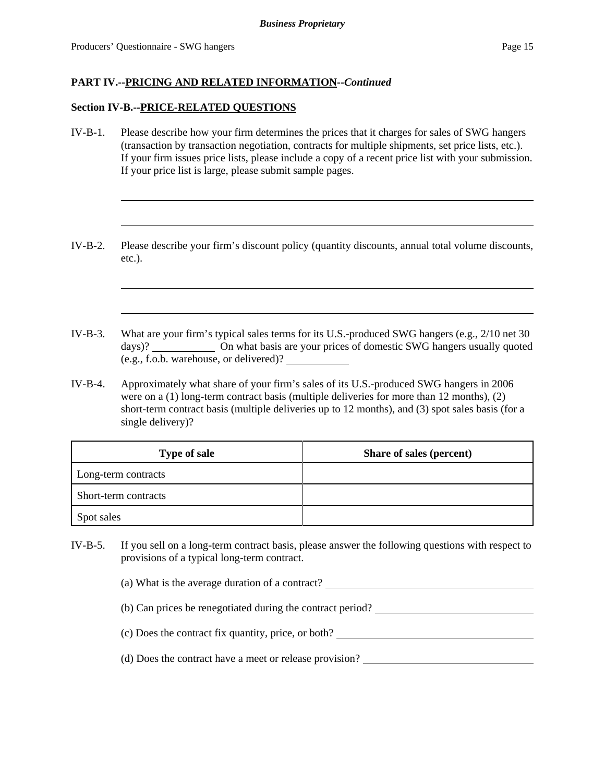#### **Section IV-B.--PRICE-RELATED QUESTIONS**

- IV-B-1. Please describe how your firm determines the prices that it charges for sales of SWG hangers (transaction by transaction negotiation, contracts for multiple shipments, set price lists, etc.). If your firm issues price lists, please include a copy of a recent price list with your submission. If your price list is large, please submit sample pages.
- IV-B-2. Please describe your firm's discount policy (quantity discounts, annual total volume discounts, etc.).
- IV-B-3. What are your firm's typical sales terms for its U.S.-produced SWG hangers (e.g., 2/10 net 30 days)? On what basis are your prices of domestic SWG hangers usually quoted (e.g., f.o.b. warehouse, or delivered)?
- IV-B-4. Approximately what share of your firm's sales of its U.S.-produced SWG hangers in 2006 were on a (1) long-term contract basis (multiple deliveries for more than 12 months), (2) short-term contract basis (multiple deliveries up to 12 months), and (3) spot sales basis (for a single delivery)?

| <b>Type of sale</b>  | Share of sales (percent) |
|----------------------|--------------------------|
| Long-term contracts  |                          |
| Short-term contracts |                          |
| Spot sales           |                          |

IV-B-5. If you sell on a long-term contract basis, please answer the following questions with respect to provisions of a typical long-term contract.

(a) What is the average duration of a contract?

- (b) Can prices be renegotiated during the contract period?
- (c) Does the contract fix quantity, price, or both?
- (d) Does the contract have a meet or release provision?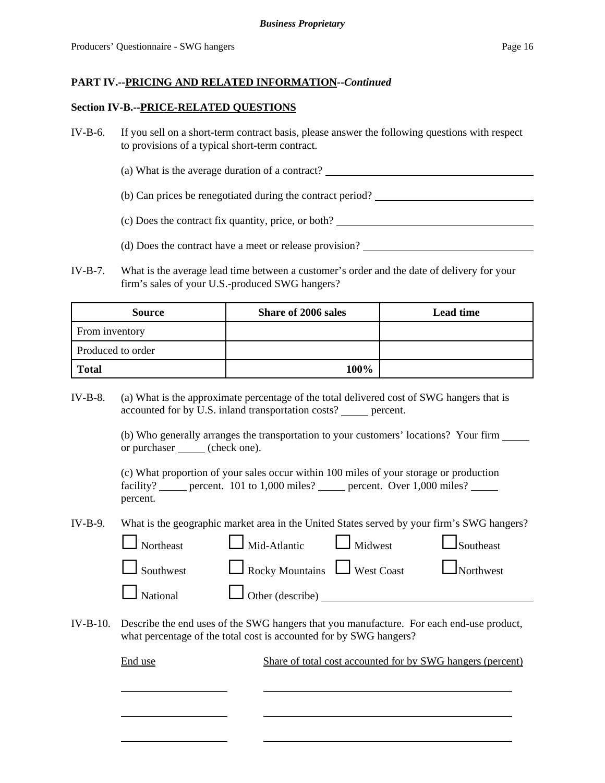#### **Section IV-B.--PRICE-RELATED QUESTIONS**

- IV-B-6. If you sell on a short-term contract basis, please answer the following questions with respect to provisions of a typical short-term contract.
	- (a) What is the average duration of a contract?
	- (b) Can prices be renegotiated during the contract period?
	- (c) Does the contract fix quantity, price, or both?
	- (d) Does the contract have a meet or release provision?
- IV-B-7. What is the average lead time between a customer's order and the date of delivery for your firm's sales of your U.S.-produced SWG hangers?

| <b>Source</b>     | <b>Share of 2006 sales</b> | <b>Lead time</b> |
|-------------------|----------------------------|------------------|
| From inventory    |                            |                  |
| Produced to order |                            |                  |
| <b>Total</b>      | 100%                       |                  |

IV-B-8. (a) What is the approximate percentage of the total delivered cost of SWG hangers that is accounted for by U.S. inland transportation costs? \_\_\_\_\_ percent.

> (b) Who generally arranges the transportation to your customers' locations? Your firm or purchaser (check one).

(c) What proportion of your sales occur within 100 miles of your storage or production facility? \_\_\_\_\_ percent. 101 to 1,000 miles? \_\_\_\_\_ percent. Over 1,000 miles? \_\_\_\_ percent.

IV-B-9. What is the geographic market area in the United States served by your firm's SWG hangers?

| $\Box$ Northeast | $\Box$ Mid-Atlantic $\Box$ Midwest |                                      | Southeast |
|------------------|------------------------------------|--------------------------------------|-----------|
| $\Box$ Southwest |                                    | Rocky Mountains West Coast Northwest |           |
| $\Box$ National  | $\Box$ Other (describe) $\Box$     |                                      |           |

IV-B-10. Describe the end uses of the SWG hangers that you manufacture. For each end-use product, what percentage of the total cost is accounted for by SWG hangers?

| End use | Share of total cost accounted for by SWG hangers (percent) |
|---------|------------------------------------------------------------|
|         |                                                            |
|         |                                                            |
|         |                                                            |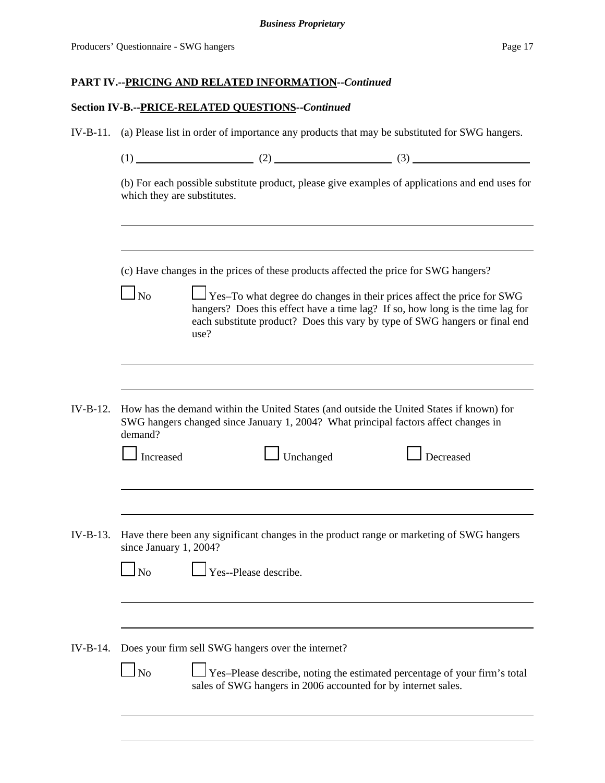## **Section IV-B.--PRICE-RELATED QUESTIONS--***Continued*

| $IV-B-11.$ | (a) Please list in order of importance any products that may be substituted for SWG hangers.                                                                                                                                                                      |                                                                                                                                                                                 |  |                                                                                          |  |  |  |  |
|------------|-------------------------------------------------------------------------------------------------------------------------------------------------------------------------------------------------------------------------------------------------------------------|---------------------------------------------------------------------------------------------------------------------------------------------------------------------------------|--|------------------------------------------------------------------------------------------|--|--|--|--|
|            |                                                                                                                                                                                                                                                                   |                                                                                                                                                                                 |  |                                                                                          |  |  |  |  |
|            | (b) For each possible substitute product, please give examples of applications and end uses for<br>which they are substitutes.                                                                                                                                    |                                                                                                                                                                                 |  |                                                                                          |  |  |  |  |
|            | (c) Have changes in the prices of these products affected the price for SWG hangers?                                                                                                                                                                              |                                                                                                                                                                                 |  |                                                                                          |  |  |  |  |
|            | Yes-To what degree do changes in their prices affect the price for SWG<br>$\overline{N}$<br>hangers? Does this effect have a time lag? If so, how long is the time lag for<br>each substitute product? Does this vary by type of SWG hangers or final end<br>use? |                                                                                                                                                                                 |  |                                                                                          |  |  |  |  |
|            |                                                                                                                                                                                                                                                                   |                                                                                                                                                                                 |  |                                                                                          |  |  |  |  |
| $IV-B-12.$ | demand?                                                                                                                                                                                                                                                           | How has the demand within the United States (and outside the United States if known) for<br>SWG hangers changed since January 1, 2004? What principal factors affect changes in |  |                                                                                          |  |  |  |  |
|            | Increased                                                                                                                                                                                                                                                         | $\Box$ Unchanged                                                                                                                                                                |  | Decreased                                                                                |  |  |  |  |
|            |                                                                                                                                                                                                                                                                   |                                                                                                                                                                                 |  |                                                                                          |  |  |  |  |
| $IV-B-13.$ | since January 1, 2004?                                                                                                                                                                                                                                            |                                                                                                                                                                                 |  | Have there been any significant changes in the product range or marketing of SWG hangers |  |  |  |  |
|            | $\Box$ No $\Box$                                                                                                                                                                                                                                                  | Yes--Please describe.                                                                                                                                                           |  |                                                                                          |  |  |  |  |
|            |                                                                                                                                                                                                                                                                   |                                                                                                                                                                                 |  |                                                                                          |  |  |  |  |
| $IV-B-14.$ |                                                                                                                                                                                                                                                                   | Does your firm sell SWG hangers over the internet?                                                                                                                              |  |                                                                                          |  |  |  |  |
|            | N <sub>o</sub>                                                                                                                                                                                                                                                    | sales of SWG hangers in 2006 accounted for by internet sales.                                                                                                                   |  | Yes-Please describe, noting the estimated percentage of your firm's total                |  |  |  |  |
|            |                                                                                                                                                                                                                                                                   |                                                                                                                                                                                 |  |                                                                                          |  |  |  |  |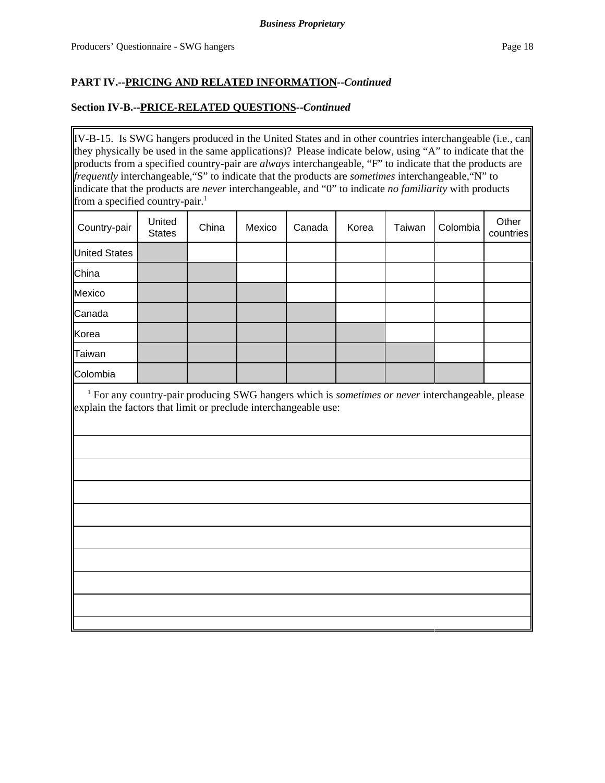### **Section IV-B.--PRICE-RELATED QUESTIONS--***Continued*

IV-B-15. Is SWG hangers produced in the United States and in other countries interchangeable (i.e., can they physically be used in the same applications)? Please indicate below, using "A" to indicate that the products from a specified country-pair are *always* interchangeable, "F" to indicate that the products are *frequently* interchangeable,"S" to indicate that the products are *sometimes* interchangeable,"N" to indicate that the products are *never* interchangeable, and "0" to indicate *no familiarity* with products from a specified country-pair.<sup>1</sup>

| Country-pair         | United<br><b>States</b> | China | Mexico | Canada | Korea | Taiwan | Colombia | Other<br>countries |
|----------------------|-------------------------|-------|--------|--------|-------|--------|----------|--------------------|
| <b>United States</b> |                         |       |        |        |       |        |          |                    |
| China                |                         |       |        |        |       |        |          |                    |
| Mexico               |                         |       |        |        |       |        |          |                    |
| Canada               |                         |       |        |        |       |        |          |                    |
| Korea                |                         |       |        |        |       |        |          |                    |
| Taiwan               |                         |       |        |        |       |        |          |                    |
| Colombia             |                         |       |        |        |       |        |          |                    |

<sup>1</sup> For any country-pair producing SWG hangers which is *sometimes or never* interchangeable, please explain the factors that limit or preclude interchangeable use: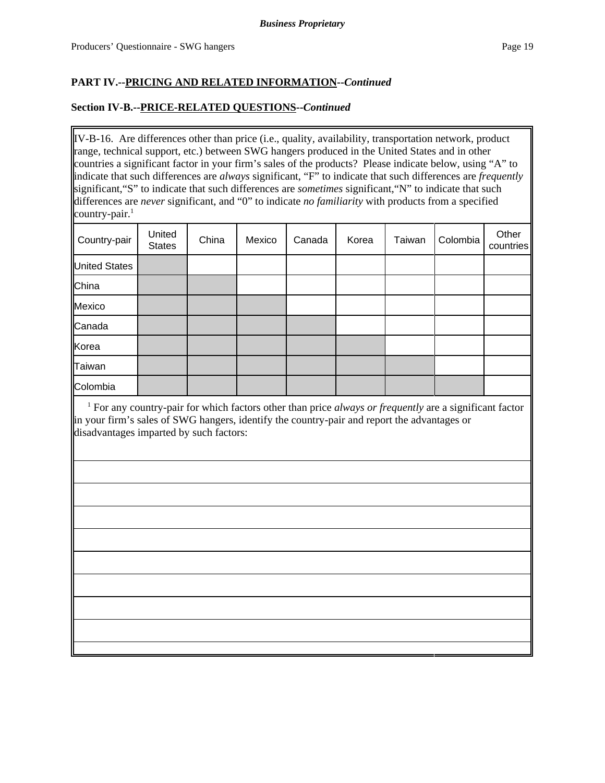### **Section IV-B.--PRICE-RELATED QUESTIONS--***Continued*

IV-B-16. Are differences other than price (i.e., quality, availability, transportation network, product range, technical support, etc.) between SWG hangers produced in the United States and in other countries a significant factor in your firm's sales of the products? Please indicate below, using "A" to indicate that such differences are *always* significant, "F" to indicate that such differences are *frequently* significant,"S" to indicate that such differences are *sometimes* significant,"N" to indicate that such differences are *never* significant, and "0" to indicate *no familiarity* with products from a specified country-pair. $<sup>1</sup>$ </sup>

| Country-pair         | United<br><b>States</b> | China | Mexico | Canada | Korea | Taiwan | Colombia | Other<br>countries |
|----------------------|-------------------------|-------|--------|--------|-------|--------|----------|--------------------|
| <b>United States</b> |                         |       |        |        |       |        |          |                    |
| China                |                         |       |        |        |       |        |          |                    |
| Mexico               |                         |       |        |        |       |        |          |                    |
| Canada               |                         |       |        |        |       |        |          |                    |
| Korea                |                         |       |        |        |       |        |          |                    |
| <b>Taiwan</b>        |                         |       |        |        |       |        |          |                    |
| Colombia             |                         |       |        |        |       |        |          |                    |

<sup>1</sup> For any country-pair for which factors other than price *always or frequently* are a significant factor in your firm's sales of SWG hangers, identify the country-pair and report the advantages or disadvantages imparted by such factors: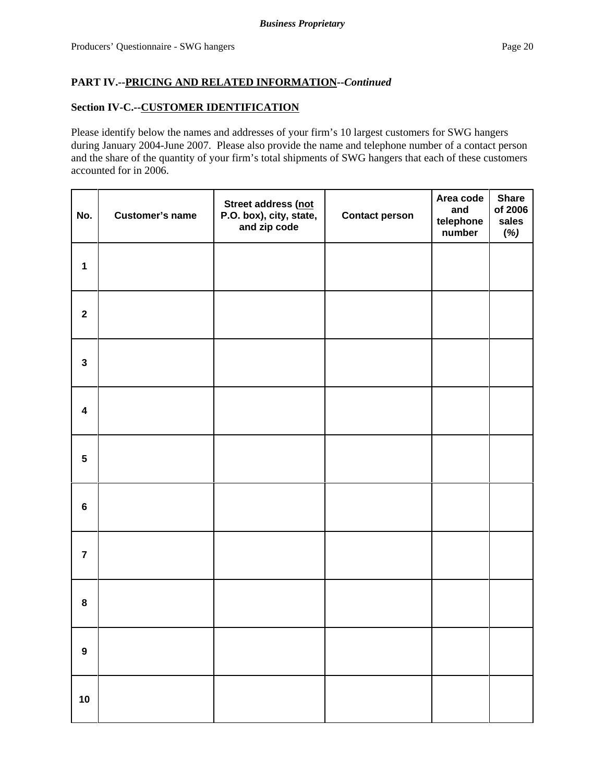## **Section IV-C.--CUSTOMER IDENTIFICATION**

Please identify below the names and addresses of your firm's 10 largest customers for SWG hangers during January 2004-June 2007. Please also provide the name and telephone number of a contact person and the share of the quantity of your firm's total shipments of SWG hangers that each of these customers accounted for in 2006.

| No.                     | <b>Customer's name</b> | Street address (not<br>P.O. box), city, state,<br>and zip code | <b>Contact person</b> | Area code<br>and<br>telephone<br>number | <b>Share</b><br>of 2006<br>sales<br>(%) |
|-------------------------|------------------------|----------------------------------------------------------------|-----------------------|-----------------------------------------|-----------------------------------------|
| $\mathbf{1}$            |                        |                                                                |                       |                                         |                                         |
| $\mathbf{2}$            |                        |                                                                |                       |                                         |                                         |
| $\mathbf{3}$            |                        |                                                                |                       |                                         |                                         |
| $\overline{\mathbf{4}}$ |                        |                                                                |                       |                                         |                                         |
| $5\phantom{.0}$         |                        |                                                                |                       |                                         |                                         |
| $\bf 6$                 |                        |                                                                |                       |                                         |                                         |
| $\overline{7}$          |                        |                                                                |                       |                                         |                                         |
| 8                       |                        |                                                                |                       |                                         |                                         |
| $\boldsymbol{9}$        |                        |                                                                |                       |                                         |                                         |
| 10                      |                        |                                                                |                       |                                         |                                         |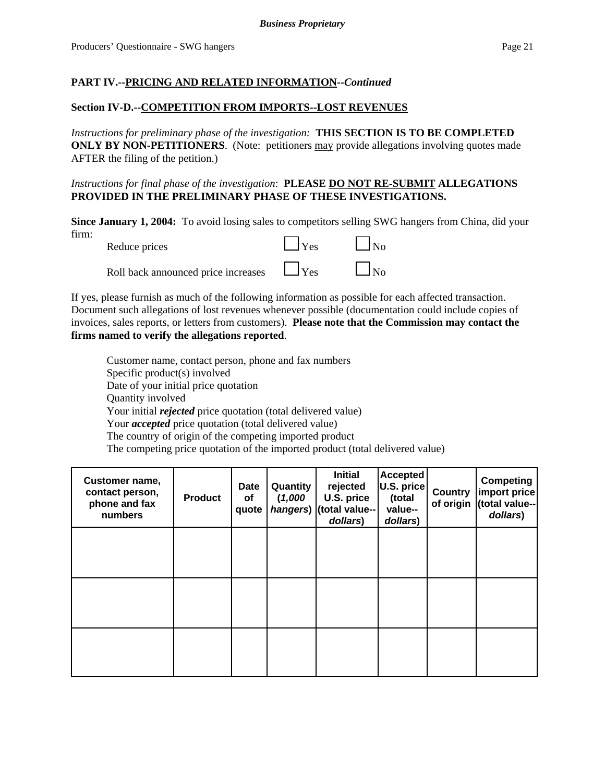### **Section IV-D.--COMPETITION FROM IMPORTS--LOST REVENUES**

*Instructions for preliminary phase of the investigation:* **THIS SECTION IS TO BE COMPLETED ONLY BY NON-PETITIONERS.** (Note: petitioners may provide allegations involving quotes made AFTER the filing of the petition.)

*Instructions for final phase of the investigation*: **PLEASE DO NOT RE-SUBMIT ALLEGATIONS PROVIDED IN THE PRELIMINARY PHASE OF THESE INVESTIGATIONS.**

**Since January 1, 2004:** To avoid losing sales to competitors selling SWG hangers from China, did your firm: Reduce prices  $\Box$  Yes  $\Box$  No

Roll back announced price increases  $\Box$  Yes

If yes, please furnish as much of the following information as possible for each affected transaction. Document such allegations of lost revenues whenever possible (documentation could include copies of invoices, sales reports, or letters from customers). **Please note that the Commission may contact the firms named to verify the allegations reported**.

Customer name, contact person, phone and fax numbers Specific product(s) involved Date of your initial price quotation Quantity involved Your initial *rejected* price quotation (total delivered value) Your *accepted* price quotation (total delivered value) The country of origin of the competing imported product The competing price quotation of the imported product (total delivered value)

| Customer name,<br>contact person,<br>phone and fax<br>numbers | <b>Product</b> | <b>Date</b><br>οf<br>quote | Quantity<br>(1,000)<br>hangers) | <b>Initial</b><br>rejected<br>U.S. price<br>(total value--<br>dollars) | <b>Accepted</b><br>U.S. price<br>(total<br>value--<br>dollars) | <b>Country</b><br>of origin | <b>Competing</b><br>import price<br>(total value--<br>dollars) |
|---------------------------------------------------------------|----------------|----------------------------|---------------------------------|------------------------------------------------------------------------|----------------------------------------------------------------|-----------------------------|----------------------------------------------------------------|
|                                                               |                |                            |                                 |                                                                        |                                                                |                             |                                                                |
|                                                               |                |                            |                                 |                                                                        |                                                                |                             |                                                                |
|                                                               |                |                            |                                 |                                                                        |                                                                |                             |                                                                |